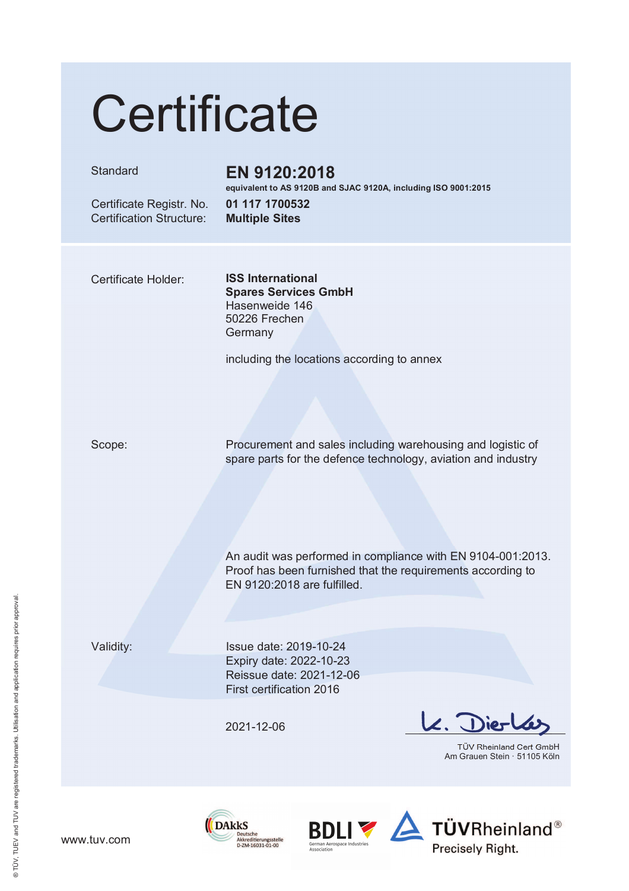# Certificate

#### Standard

### EN 9120:2018

equivalent to AS 9120B and SJAC 9120A, including ISO 9001:2015

Certificate Registr. No. **Certification Structure:** 

#### 01 117 1700532 **Multiple Sites**

**Certificate Holder:** 

**ISS International Spares Services GmbH** Hasenweide 146 50226 Frechen Germany

including the locations according to annex

Scope:

Procurement and sales including warehousing and logistic of spare parts for the defence technology, aviation and industry

An audit was performed in compliance with EN 9104-001:2013. Proof has been furnished that the requirements according to EN 9120:2018 are fulfilled.

Validity:

Issue date: 2019-10-24 Expiry date: 2022-10-23 Reissue date: 2021-12-06 First certification 2016

2021-12-06

Akkreditierungsstelle<br>D-ZM-16031-01-00

**DAkkS** 

 $2.$  Dier

TÜV Rheinland Cert GmbH Am Grauen Stein · 51105 Köln